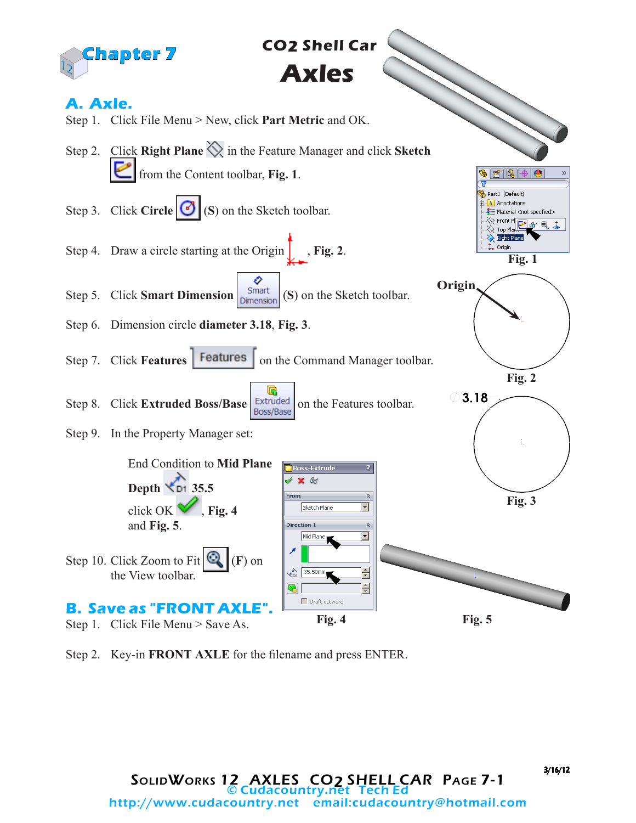

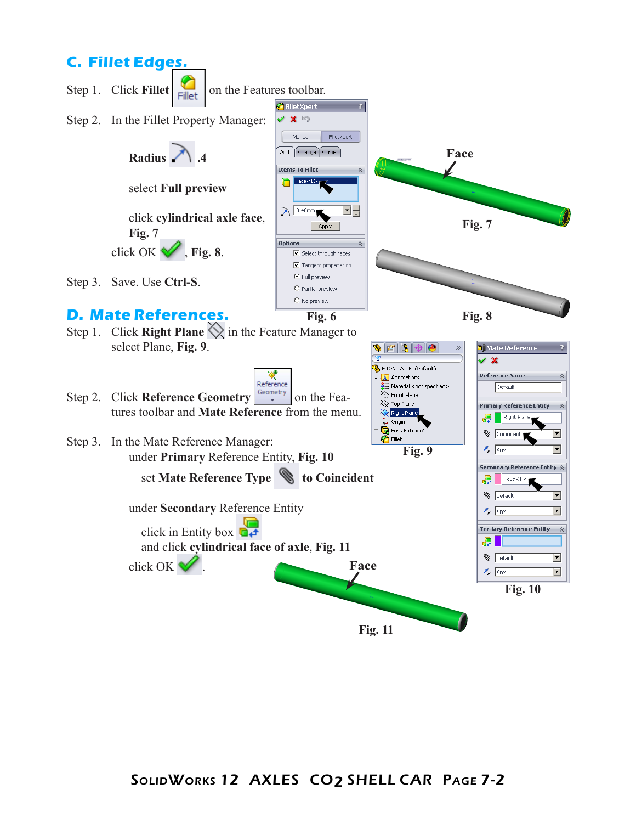